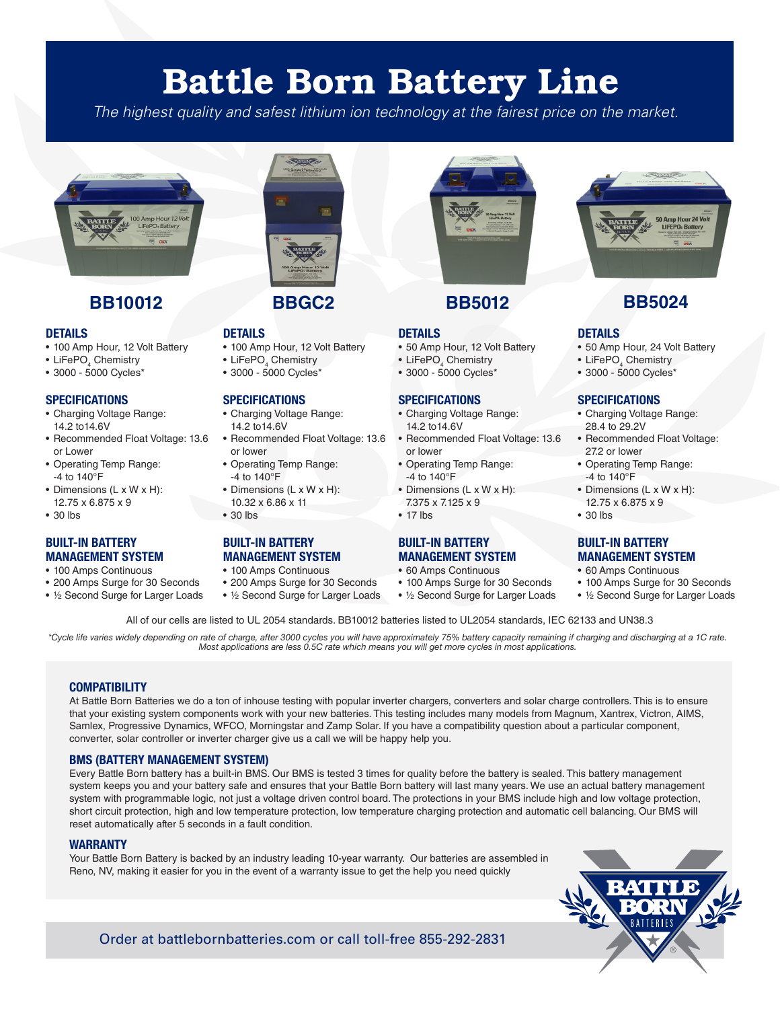# Battle Born Battery Line

*The highest quality and safest lithium ion technology at the fairest price on the market.*



### **BB10012 BB5012 BB5024**

#### **DETAILS**

- 100 Amp Hour, 12 Volt Battery
- $\bullet$  LiFePO $_{\tiny{4}}$  Chemistry
- 3000 5000 Cycles\*

#### **SPECIFICATIONS**

- Charging Voltage Range: 14.2 to14.6V
- Recommended Float Voltage: 13.6 or Lower
- Operating Temp Range: -4 to 140°F
- Dimensions (L x W x H): 12.75 x 6.875 x 9
- 30 lbs

#### **BUILT-IN BATTERY MANAGEMENT SYSTEM**

- 100 Amps Continuous
- 200 Amps Surge for 30 Seconds
- ½ Second Surge for Larger Loads

#### **BBGC2**

#### **DETAILS**

- 100 Amp Hour, 12 Volt Battery
- $\bullet$  LiFePO $_{\tiny{4}}$  Chemistry
- 3000 5000 Cycles\*

#### **SPECIFICATIONS**

- Charging Voltage Range: 14.2 to14.6V
- Recommended Float Voltage: 13.6 or lower
- Operating Temp Range: -4 to 140°F
- Dimensions (L x W x H):
- 10.32 x 6.86 x 11 • 30 lbs

## **BUILT-IN BATTERY**

- **MANAGEMENT SYSTEM**
- 100 Amps Continuous
- 200 Amps Surge for 30 Seconds • ½ Second Surge for Larger Loads



#### **DETAILS**

- 50 Amp Hour, 12 Volt Battery
- LiFePO<sub>4</sub> Chemistry
- 3000 5000 Cycles\*

- **SPECIFICATIONS** • Charging Voltage Range: 14.2 to14.6V
- Recommended Float Voltage: 13.6 or lower
- Operating Temp Range: -4 to 140°F
- Dimensions (L x W x H): 7.375 x 7.125 x 9

#### • 17 lbs

#### **BUILT-IN BATTERY MANAGEMENT SYSTEM**

- 60 Amps Continuous
- 100 Amps Surge for 30 Seconds
- ½ Second Surge for Larger Loads



#### **DETAILS**

- 50 Amp Hour, 24 Volt Battery
- LiFePO<sub>4</sub> Chemistry
- 3000 5000 Cycles\*

#### **SPECIFICATIONS**

- Charging Voltage Range: 28.4 to 29.2V
- Recommended Float Voltage: 27.2 or lower
- Operating Temp Range: -4 to 140°F
- Dimensions (L x W x H): 12.75 x 6.875 x 9
- 30 lbs

#### **BUILT-IN BATTERY MANAGEMENT SYSTEM**

- 60 Amps Continuous
- 100 Amps Surge for 30 Seconds
- ½ Second Surge for Larger Loads

#### All of our cells are listed to UL 2054 standards. BB10012 batteries listed to UL2054 standards, IEC 62133 and UN38.3

*\*Cycle life varies widely depending on rate of charge, after 3000 cycles you will have approximately 75% battery capacity remaining if charging and discharging at a 1C rate. Most applications are less 0.5C rate which means you will get more cycles in most applications.*

#### **COMPATIBILITY**

At Battle Born Batteries we do a ton of inhouse testing with popular inverter chargers, converters and solar charge controllers. This is to ensure that your existing system components work with your new batteries. This testing includes many models from Magnum, Xantrex, Victron, AIMS, Samlex, Progressive Dynamics, WFCO, Morningstar and Zamp Solar. If you have a compatibility question about a particular component, converter, solar controller or inverter charger give us a call we will be happy help you.

#### **BMS (BATTERY MANAGEMENT SYSTEM)**

Every Battle Born battery has a built-in BMS. Our BMS is tested 3 times for quality before the battery is sealed. This battery management system keeps you and your battery safe and ensures that your Battle Born battery will last many years. We use an actual battery management system with programmable logic, not just a voltage driven control board. The protections in your BMS include high and low voltage protection, short circuit protection, high and low temperature protection, low temperature charging protection and automatic cell balancing. Our BMS will reset automatically after 5 seconds in a fault condition.

#### **WARRANTY**

Your Battle Born Battery is backed by an industry leading 10-year warranty. Our batteries are assembled in Reno, NV, making it easier for you in the event of a warranty issue to get the help you need quickly



Order at battlebornbatteries.com or call toll-free 855-292-2831